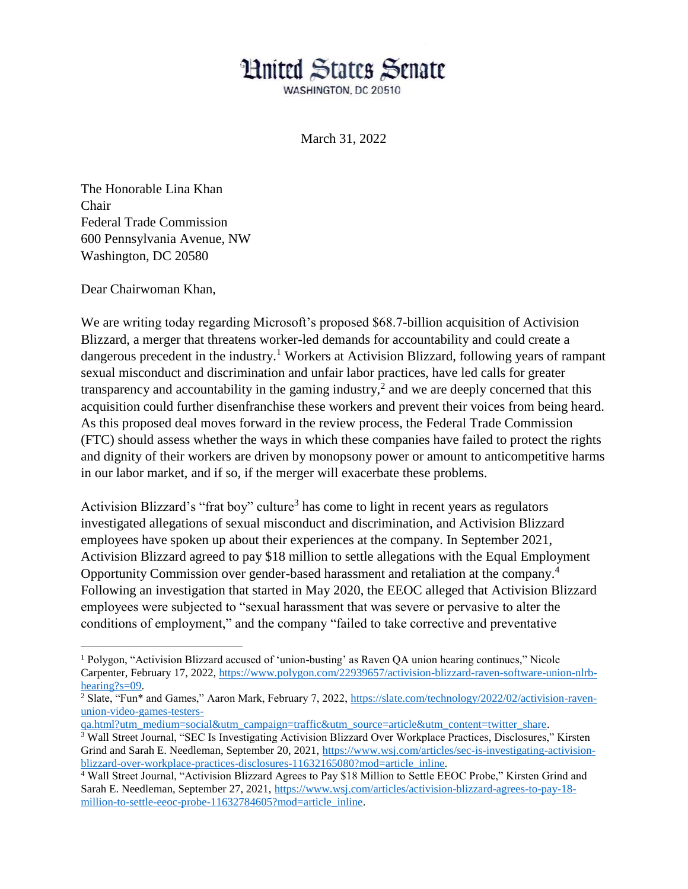## **Hnited States Senate**

WASHINGTON, DC 20510

March 31, 2022

The Honorable Lina Khan Chair Federal Trade Commission 600 Pennsylvania Avenue, NW Washington, DC 20580

Dear Chairwoman Khan,

 $\overline{a}$ 

We are writing today regarding Microsoft's proposed \$68.7-billion acquisition of Activision Blizzard, a merger that threatens worker-led demands for accountability and could create a dangerous precedent in the industry.<sup>1</sup> Workers at Activision Blizzard, following years of rampant sexual misconduct and discrimination and unfair labor practices, have led calls for greater transparency and accountability in the gaming industry,<sup>2</sup> and we are deeply concerned that this acquisition could further disenfranchise these workers and prevent their voices from being heard. As this proposed deal moves forward in the review process, the Federal Trade Commission (FTC) should assess whether the ways in which these companies have failed to protect the rights and dignity of their workers are driven by monopsony power or amount to anticompetitive harms in our labor market, and if so, if the merger will exacerbate these problems.

Activision Blizzard's "frat boy" culture<sup>3</sup> has come to light in recent years as regulators investigated allegations of sexual misconduct and discrimination, and Activision Blizzard employees have spoken up about their experiences at the company. In September 2021, Activision Blizzard agreed to pay \$18 million to settle allegations with the Equal Employment Opportunity Commission over gender-based harassment and retaliation at the company.<sup>4</sup> Following an investigation that started in May 2020, the EEOC alleged that Activision Blizzard employees were subjected to "sexual harassment that was severe or pervasive to alter the conditions of employment," and the company "failed to take corrective and preventative

<sup>1</sup> Polygon, "Activision Blizzard accused of 'union-busting' as Raven QA union hearing continues," Nicole Carpenter, February 17, 2022, https://www.polygon.com/22939657/activision-blizzard-raven-software-union-nlrbhearing?s=09.

<sup>&</sup>lt;sup>2</sup> Slate, "Fun\* and Games," Aaron Mark, February 7, 2022, https://slate.com/technology/2022/02/activision-ravenunion-video-games-testers-

qa.html?utm\_medium=social&utm\_campaign=traffic&utm\_source=article&utm\_content=twitter\_share. <sup>3</sup> Wall Street Journal, "SEC Is Investigating Activision Blizzard Over Workplace Practices, Disclosures," Kirsten

Grind and Sarah E. Needleman, September 20, 2021, https://www.wsj.com/articles/sec-is-investigating-activisionblizzard-over-workplace-practices-disclosures-11632165080?mod=article\_inline.

<sup>&</sup>lt;sup>4</sup> Wall Street Journal, "Activision Blizzard Agrees to Pay \$18 Million to Settle EEOC Probe," Kirsten Grind and Sarah E. Needleman, September 27, 2021, https://www.wsj.com/articles/activision-blizzard-agrees-to-pay-18 million-to-settle-eeoc-probe-11632784605?mod=article\_inline.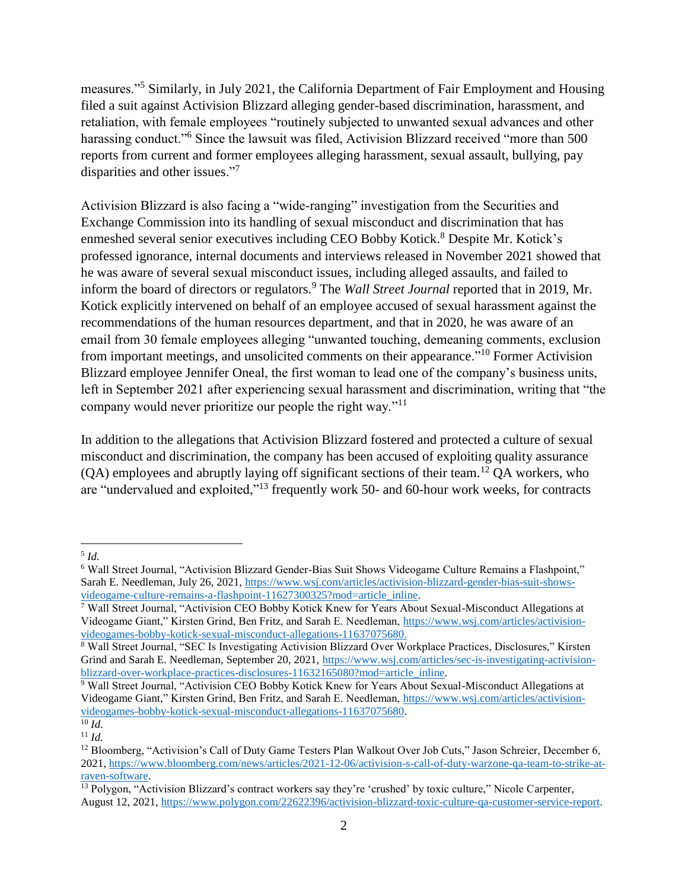measures."<sup>5</sup> Similarly, in July 2021, the California Department of Fair Employment and Housing filed a suit against Activision Blizzard alleging gender-based discrimination, harassment, and retaliation, with female employees "routinely subjected to unwanted sexual advances and other harassing conduct."<sup>6</sup> Since the lawsuit was filed, Activision Blizzard received "more than 500 reports from current and former employees alleging harassment, sexual assault, bullying, pay disparities and other issues."<sup>7</sup>

Activision Blizzard is also facing a "wide-ranging" investigation from the Securities and Exchange Commission into its handling of sexual misconduct and discrimination that has enmeshed several senior executives including CEO Bobby Kotick.<sup>8</sup> Despite Mr. Kotick's professed ignorance, internal documents and interviews released in November 2021 showed that he was aware of several sexual misconduct issues, including alleged assaults, and failed to inform the board of directors or regulators.<sup>9</sup> The *Wall Street Journal* reported that in 2019, Mr. Kotick explicitly intervened on behalf of an employee accused of sexual harassment against the recommendations of the human resources department, and that in 2020, he was aware of an email from 30 female employees alleging "unwanted touching, demeaning comments, exclusion from important meetings, and unsolicited comments on their appearance."<sup>10</sup> Former Activision Blizzard employee Jennifer Oneal, the first woman to lead one of the company's business units, left in September 2021 after experiencing sexual harassment and discrimination, writing that "the company would never prioritize our people the right way."<sup>11</sup>

In addition to the allegations that Activision Blizzard fostered and protected a culture of sexual misconduct and discrimination, the company has been accused of exploiting quality assurance  $(OA)$  employees and abruptly laying off significant sections of their team.<sup>12</sup> OA workers, who are "undervalued and exploited,"<sup>13</sup> frequently work 50- and 60-hour work weeks, for contracts

 $\overline{a}$ 5 *Id.*

<sup>6</sup> Wall Street Journal, "Activision Blizzard Gender-Bias Suit Shows Videogame Culture Remains a Flashpoint," Sarah E. Needleman, July 26, 2021, https://www.wsj.com/articles/activision-blizzard-gender-bias-suit-showsvideogame-culture-remains-a-flashpoint-11627300325?mod=article\_inline.

<sup>7</sup> Wall Street Journal, "Activision CEO Bobby Kotick Knew for Years About Sexual-Misconduct Allegations at Videogame Giant," Kirsten Grind, Ben Fritz, and Sarah E. Needleman, https://www.wsj.com/articles/activisionvideogames-bobby-kotick-sexual-misconduct-allegations-11637075680.

<sup>8</sup> Wall Street Journal, "SEC Is Investigating Activision Blizzard Over Workplace Practices, Disclosures," Kirsten Grind and Sarah E. Needleman, September 20, 2021, https://www.wsj.com/articles/sec-is-investigating-activisionblizzard-over-workplace-practices-disclosures-11632165080?mod=article\_inline.

<sup>9</sup> Wall Street Journal, "Activision CEO Bobby Kotick Knew for Years About Sexual-Misconduct Allegations at Videogame Giant," Kirsten Grind, Ben Fritz, and Sarah E. Needleman, https://www.wsj.com/articles/activisionvideogames-bobby-kotick-sexual-misconduct-allegations-11637075680.

 $\overline{^{10}$  *Id.* 

<sup>11</sup> *Id.*

<sup>&</sup>lt;sup>12</sup> Bloomberg, "Activision's Call of Duty Game Testers Plan Walkout Over Job Cuts," Jason Schreier, December 6, 2021, https://www.bloomberg.com/news/articles/2021-12-06/activision-s-call-of-duty-warzone-qa-team-to-strike-atraven-software.

<sup>&</sup>lt;sup>13</sup> Polygon, "Activision Blizzard's contract workers say they're 'crushed' by toxic culture," Nicole Carpenter, August 12, 2021, https://www.polygon.com/22622396/activision-blizzard-toxic-culture-qa-customer-service-report.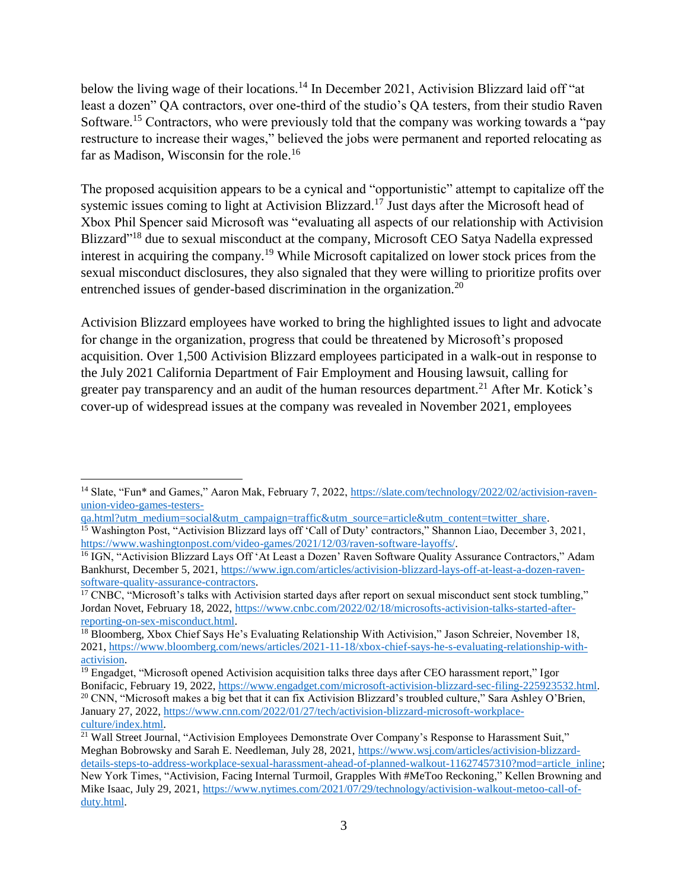below the living wage of their locations.<sup>14</sup> In December 2021, Activision Blizzard laid off "at least a dozen" QA contractors, over one-third of the studio's QA testers, from their studio Raven Software.<sup>15</sup> Contractors, who were previously told that the company was working towards a "pay" restructure to increase their wages," believed the jobs were permanent and reported relocating as far as Madison, Wisconsin for the role.<sup>16</sup>

The proposed acquisition appears to be a cynical and "opportunistic" attempt to capitalize off the systemic issues coming to light at Activision Blizzard.<sup>17</sup> Just days after the Microsoft head of Xbox Phil Spencer said Microsoft was "evaluating all aspects of our relationship with Activision Blizzard"<sup>18</sup> due to sexual misconduct at the company, Microsoft CEO Satya Nadella expressed interest in acquiring the company.<sup>19</sup> While Microsoft capitalized on lower stock prices from the sexual misconduct disclosures, they also signaled that they were willing to prioritize profits over entrenched issues of gender-based discrimination in the organization.<sup>20</sup>

Activision Blizzard employees have worked to bring the highlighted issues to light and advocate for change in the organization, progress that could be threatened by Microsoft's proposed acquisition. Over 1,500 Activision Blizzard employees participated in a walk-out in response to the July 2021 California Department of Fair Employment and Housing lawsuit, calling for greater pay transparency and an audit of the human resources department.<sup>21</sup> After Mr. Kotick's cover-up of widespread issues at the company was revealed in November 2021, employees

 $\overline{a}$ <sup>14</sup> Slate, "Fun\* and Games," Aaron Mak, February 7, 2022, https://slate.com/technology/2022/02/activision-ravenunion-video-games-testers-

qa.html?utm\_medium=social&utm\_campaign=traffic&utm\_source=article&utm\_content=twitter\_share. <sup>15</sup> Washington Post, "Activision Blizzard lays off 'Call of Duty' contractors," Shannon Liao, December 3, 2021, https://www.washingtonpost.com/video-games/2021/12/03/raven-software-layoffs/.

<sup>&</sup>lt;sup>16</sup> IGN, "Activision Blizzard Lays Off 'At Least a Dozen' Raven Software Quality Assurance Contractors," Adam Bankhurst, December 5, 2021, https://www.ign.com/articles/activision-blizzard-lays-off-at-least-a-dozen-ravensoftware-quality-assurance-contractors.

 $17$  CNBC, "Microsoft's talks with Activision started days after report on sexual misconduct sent stock tumbling," Jordan Novet, February 18, 2022, https://www.cnbc.com/2022/02/18/microsofts-activision-talks-started-afterreporting-on-sex-misconduct.html.

<sup>&</sup>lt;sup>18</sup> Bloomberg, Xbox Chief Says He's Evaluating Relationship With Activision," Jason Schreier, November 18, 2021, https://www.bloomberg.com/news/articles/2021-11-18/xbox-chief-says-he-s-evaluating-relationship-withactivision.

<sup>&</sup>lt;sup>19</sup> Engadget, "Microsoft opened Activision acquisition talks three days after CEO harassment report," Igor Bonifacic, February 19, 2022, https://www.engadget.com/microsoft-activision-blizzard-sec-filing-225923532.html. <sup>20</sup> CNN, "Microsoft makes a big bet that it can fix Activision Blizzard's troubled culture," Sara Ashley O'Brien, January 27, 2022, https://www.cnn.com/2022/01/27/tech/activision-blizzard-microsoft-workplaceculture/index.html.

<sup>&</sup>lt;sup>21</sup> Wall Street Journal, "Activision Employees Demonstrate Over Company's Response to Harassment Suit," Meghan Bobrowsky and Sarah E. Needleman, July 28, 2021, https://www.wsj.com/articles/activision-blizzarddetails-steps-to-address-workplace-sexual-harassment-ahead-of-planned-walkout-11627457310?mod=article\_inline; New York Times, "Activision, Facing Internal Turmoil, Grapples With #MeToo Reckoning," Kellen Browning and Mike Isaac, July 29, 2021, https://www.nytimes.com/2021/07/29/technology/activision-walkout-metoo-call-ofduty.html.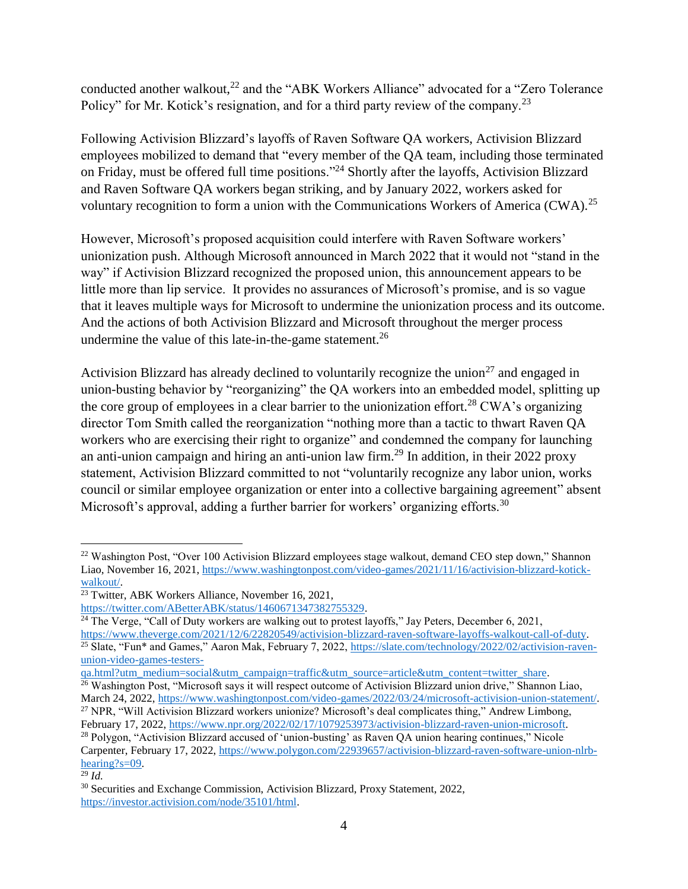conducted another walkout,<sup>22</sup> and the "ABK Workers Alliance" advocated for a "Zero Tolerance" Policy" for Mr. Kotick's resignation, and for a third party review of the company.<sup>23</sup>

Following Activision Blizzard's layoffs of Raven Software QA workers, Activision Blizzard employees mobilized to demand that "every member of the QA team, including those terminated on Friday, must be offered full time positions."<sup>24</sup> Shortly after the layoffs, Activision Blizzard and Raven Software QA workers began striking, and by January 2022, workers asked for voluntary recognition to form a union with the Communications Workers of America (CWA).<sup>25</sup>

However, Microsoft's proposed acquisition could interfere with Raven Software workers' unionization push. Although Microsoft announced in March 2022 that it would not "stand in the way" if Activision Blizzard recognized the proposed union, this announcement appears to be little more than lip service. It provides no assurances of Microsoft's promise, and is so vague that it leaves multiple ways for Microsoft to undermine the unionization process and its outcome. And the actions of both Activision Blizzard and Microsoft throughout the merger process undermine the value of this late-in-the-game statement.<sup>26</sup>

Activision Blizzard has already declined to voluntarily recognize the union<sup>27</sup> and engaged in union-busting behavior by "reorganizing" the QA workers into an embedded model, splitting up the core group of employees in a clear barrier to the unionization effort.<sup>28</sup> CWA's organizing director Tom Smith called the reorganization "nothing more than a tactic to thwart Raven QA workers who are exercising their right to organize" and condemned the company for launching an anti-union campaign and hiring an anti-union law firm.<sup>29</sup> In addition, in their 2022 proxy statement, Activision Blizzard committed to not "voluntarily recognize any labor union, works council or similar employee organization or enter into a collective bargaining agreement" absent Microsoft's approval, adding a further barrier for workers' organizing efforts.<sup>30</sup>

 $24$  The Verge, "Call of Duty workers are walking out to protest layoffs," Jay Peters, December 6, 2021,

https://www.theverge.com/2021/12/6/22820549/activision-blizzard-raven-software-layoffs-walkout-call-of-duty. <sup>25</sup> Slate, "Fun\* and Games," Aaron Mak, February 7, 2022, https://slate.com/technology/2022/02/activision-ravenunion-video-games-testers-

 $\overline{a}$ 

<sup>&</sup>lt;sup>22</sup> Washington Post, "Over 100 Activision Blizzard employees stage walkout, demand CEO step down," Shannon Liao, November 16, 2021, https://www.washingtonpost.com/video-games/2021/11/16/activision-blizzard-kotickwalkout/.

 $\frac{23}{23}$  Twitter, ABK Workers Alliance, November 16, 2021,

https://twitter.com/ABetterABK/status/1460671347382755329.

qa.html?utm\_medium=social&utm\_campaign=traffic&utm\_source=article&utm\_content=twitter\_share.

<sup>&</sup>lt;sup>26</sup> Washington Post, "Microsoft says it will respect outcome of Activision Blizzard union drive," Shannon Liao, March 24, 2022, https://www.washingtonpost.com/video-games/2022/03/24/microsoft-activision-union-statement/. <sup>27</sup> NPR, "Will Activision Blizzard workers unionize? Microsoft's deal complicates thing," Andrew Limbong,

February 17, 2022, https://www.npr.org/2022/02/17/1079253973/activision-blizzard-raven-union-microsoft. <sup>28</sup> Polygon, "Activision Blizzard accused of 'union-busting' as Raven QA union hearing continues," Nicole Carpenter, February 17, 2022, https://www.polygon.com/22939657/activision-blizzard-raven-software-union-nlrbhearing?s=09.

 $\overline{^{29}$  *Id.* 

<sup>30</sup> Securities and Exchange Commission, Activision Blizzard, Proxy Statement, 2022, https://investor.activision.com/node/35101/html.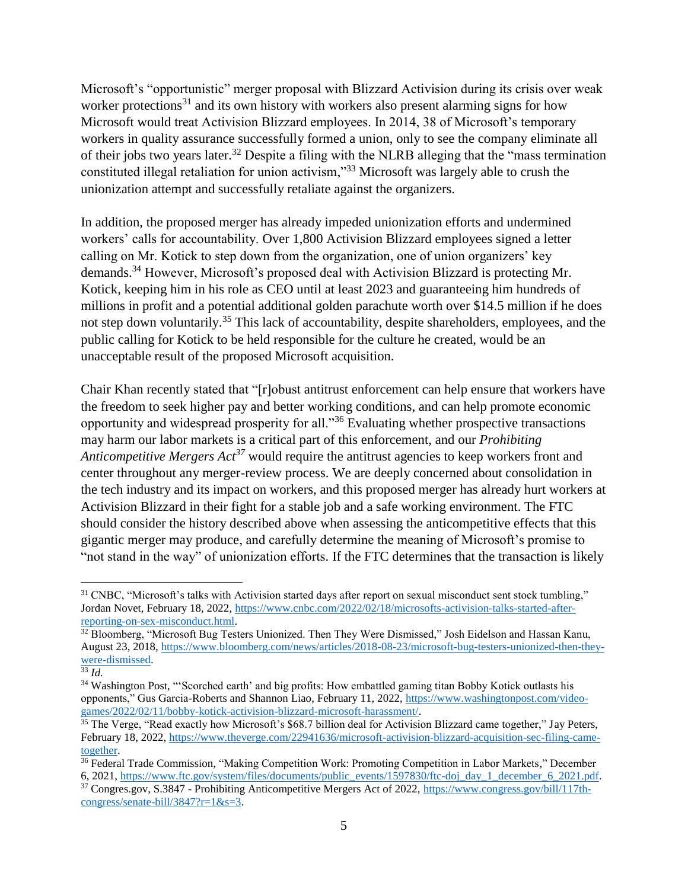Microsoft's "opportunistic" merger proposal with Blizzard Activision during its crisis over weak worker protections<sup>31</sup> and its own history with workers also present alarming signs for how Microsoft would treat Activision Blizzard employees. In 2014, 38 of Microsoft's temporary workers in quality assurance successfully formed a union, only to see the company eliminate all of their jobs two years later.<sup>32</sup> Despite a filing with the NLRB alleging that the "mass termination" constituted illegal retaliation for union activism,"<sup>33</sup> Microsoft was largely able to crush the unionization attempt and successfully retaliate against the organizers.

In addition, the proposed merger has already impeded unionization efforts and undermined workers' calls for accountability. Over 1,800 Activision Blizzard employees signed a letter calling on Mr. Kotick to step down from the organization, one of union organizers' key demands.<sup>34</sup> However, Microsoft's proposed deal with Activision Blizzard is protecting Mr. Kotick, keeping him in his role as CEO until at least 2023 and guaranteeing him hundreds of millions in profit and a potential additional golden parachute worth over \$14.5 million if he does not step down voluntarily.<sup>35</sup> This lack of accountability, despite shareholders, employees, and the public calling for Kotick to be held responsible for the culture he created, would be an unacceptable result of the proposed Microsoft acquisition.

Chair Khan recently stated that "[r]obust antitrust enforcement can help ensure that workers have the freedom to seek higher pay and better working conditions, and can help promote economic opportunity and widespread prosperity for all."<sup>36</sup> Evaluating whether prospective transactions may harm our labor markets is a critical part of this enforcement, and our *Prohibiting Anticompetitive Mergers Act<sup>37</sup>* would require the antitrust agencies to keep workers front and center throughout any merger-review process. We are deeply concerned about consolidation in the tech industry and its impact on workers, and this proposed merger has already hurt workers at Activision Blizzard in their fight for a stable job and a safe working environment. The FTC should consider the history described above when assessing the anticompetitive effects that this gigantic merger may produce, and carefully determine the meaning of Microsoft's promise to "not stand in the way" of unionization efforts. If the FTC determines that the transaction is likely

 $\overline{a}$ 

 $31$  CNBC, "Microsoft's talks with Activision started days after report on sexual misconduct sent stock tumbling," Jordan Novet, February 18, 2022, https://www.cnbc.com/2022/02/18/microsofts-activision-talks-started-afterreporting-on-sex-misconduct.html.

<sup>&</sup>lt;sup>32</sup> Bloomberg, "Microsoft Bug Testers Unionized. Then They Were Dismissed," Josh Eidelson and Hassan Kanu, August 23, 2018, https://www.bloomberg.com/news/articles/2018-08-23/microsoft-bug-testers-unionized-then-theywere-dismissed.

<sup>33</sup> *Id.*

<sup>&</sup>lt;sup>34</sup> Washington Post, "'Scorched earth' and big profits: How embattled gaming titan Bobby Kotick outlasts his opponents," Gus Garcia-Roberts and Shannon Liao, February 11, 2022, https://www.washingtonpost.com/videogames/2022/02/11/bobby-kotick-activision-blizzard-microsoft-harassment/.

<sup>&</sup>lt;sup>35</sup> The Verge, "Read exactly how Microsoft's \$68.7 billion deal for Activision Blizzard came together," Jay Peters, February 18, 2022, https://www.theverge.com/22941636/microsoft-activision-blizzard-acquisition-sec-filing-cametogether.

<sup>&</sup>lt;sup>36</sup> Federal Trade Commission, "Making Competition Work: Promoting Competition in Labor Markets," December 6, 2021, https://www.ftc.gov/system/files/documents/public\_events/1597830/ftc-doj\_day\_1\_december\_6\_2021.pdf.

<sup>37</sup> Congres.gov, S.3847 - Prohibiting Anticompetitive Mergers Act of 2022, https://www.congress.gov/bill/117thcongress/senate-bill/3847?r=1&s=3.